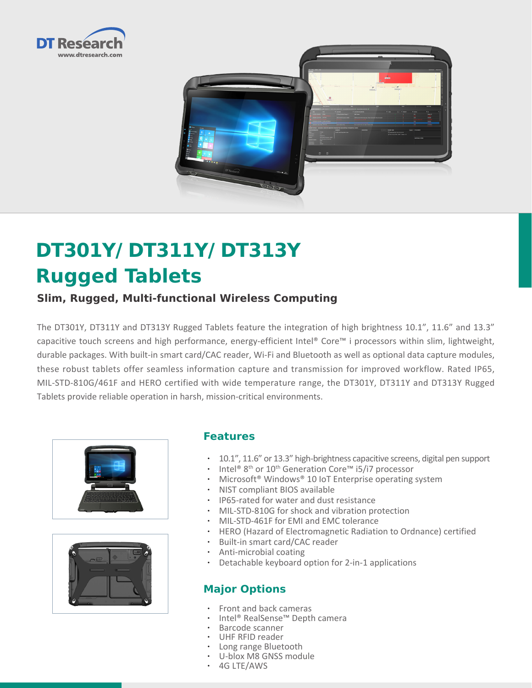



# **DT301Y/ DT311Y/ DT313Y Rugged Tablets**

## **Slim, Rugged, Multi-functional Wireless Computing**

The DT301Y, DT311Y and DT313Y Rugged Tablets feature the integration of high brightness 10.1", 11.6" and 13.3" capacitive touch screens and high performance, energy-efficient Intel® Core™ i processors within slim, lightweight, durable packages. With built-in smart card/CAC reader, Wi-Fi and Bluetooth as well as optional data capture modules, these robust tablets offer seamless information capture and transmission for improved workflow. Rated IP65, MIL-STD-810G/461F and HERO certified with wide temperature range, the DT301Y, DT311Y and DT313Y Rugged Tablets provide reliable operation in harsh, mission-critical environments.





#### **Features**

- • 10.1", 11.6" or 13.3" high-brightness capacitive screens, digital pen support
- Intel® 8<sup>th</sup> or 10<sup>th</sup> Generation Core<sup>™</sup> i5/i7 processor
- Microsoft<sup>®</sup> Windows<sup>®</sup> 10 IoT Enterprise operating system
- • NIST compliant BIOS available
- • IP65-rated for water and dust resistance
- MIL-STD-810G for shock and vibration protection
- • MIL-STD-461F for EMI and EMC tolerance
- • HERO (Hazard of Electromagnetic Radiation to Ordnance) certified
- • Built-in smart card/CAC reader
- • Anti-microbial coating
- • Detachable keyboard option for 2-in-1 applications

### **Major Options**

- Front and back cameras
- • Intel® RealSense™ Depth camera
- Barcode scanner
- UHF RFID reader
- Long range Bluetooth
- • U-blox M8 GNSS module
- • 4G LTE/AWS